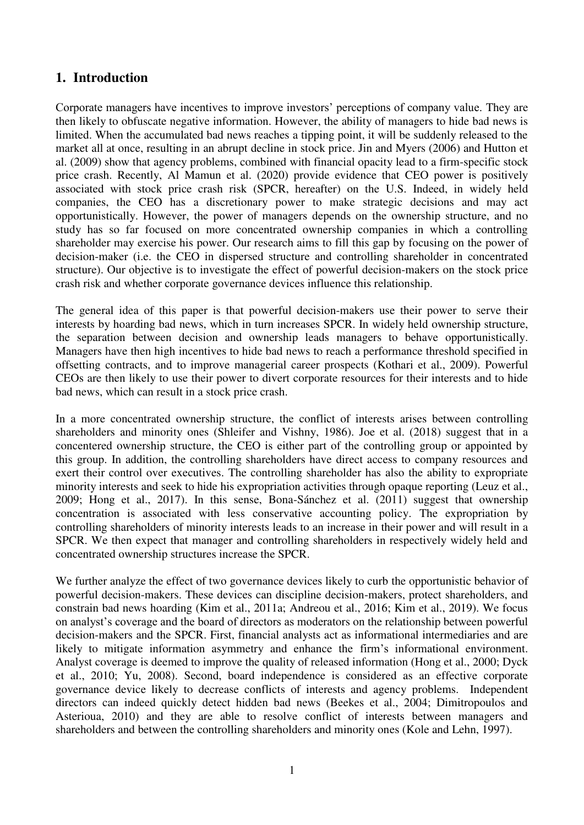# **1. Introduction**

Corporate managers have incentives to improve investors' perceptions of company value. They are then likely to obfuscate negative information. However, the ability of managers to hide bad news is limited. When the accumulated bad news reaches a tipping point, it will be suddenly released to the market all at once, resulting in an abrupt decline in stock price. Jin and Myers (2006) and Hutton et al. (2009) show that agency problems, combined with financial opacity lead to a firm-specific stock price crash. Recently, Al Mamun et al. (2020) provide evidence that CEO power is positively associated with stock price crash risk (SPCR, hereafter) on the U.S. Indeed, in widely held companies, the CEO has a discretionary power to make strategic decisions and may act opportunistically. However, the power of managers depends on the ownership structure, and no study has so far focused on more concentrated ownership companies in which a controlling shareholder may exercise his power. Our research aims to fill this gap by focusing on the power of decision-maker (i.e. the CEO in dispersed structure and controlling shareholder in concentrated structure). Our objective is to investigate the effect of powerful decision-makers on the stock price crash risk and whether corporate governance devices influence this relationship.

The general idea of this paper is that powerful decision-makers use their power to serve their interests by hoarding bad news, which in turn increases SPCR. In widely held ownership structure, the separation between decision and ownership leads managers to behave opportunistically. Managers have then high incentives to hide bad news to reach a performance threshold specified in offsetting contracts, and to improve managerial career prospects (Kothari et al., 2009). Powerful CEOs are then likely to use their power to divert corporate resources for their interests and to hide bad news, which can result in a stock price crash.

In a more concentrated ownership structure, the conflict of interests arises between controlling shareholders and minority ones (Shleifer and Vishny, 1986). Joe et al. (2018) suggest that in a concentered ownership structure, the CEO is either part of the controlling group or appointed by this group. In addition, the controlling shareholders have direct access to company resources and exert their control over executives. The controlling shareholder has also the ability to expropriate minority interests and seek to hide his expropriation activities through opaque reporting (Leuz et al., 2009; Hong et al., 2017). In this sense, Bona-Sánchez et al. (2011) suggest that ownership concentration is associated with less conservative accounting policy. The expropriation by controlling shareholders of minority interests leads to an increase in their power and will result in a SPCR. We then expect that manager and controlling shareholders in respectively widely held and concentrated ownership structures increase the SPCR.

We further analyze the effect of two governance devices likely to curb the opportunistic behavior of powerful decision-makers. These devices can discipline decision-makers, protect shareholders, and constrain bad news hoarding (Kim et al., 2011a; Andreou et al., 2016; Kim et al., 2019). We focus on analyst's coverage and the board of directors as moderators on the relationship between powerful decision-makers and the SPCR. First, financial analysts act as informational intermediaries and are likely to mitigate information asymmetry and enhance the firm's informational environment. Analyst coverage is deemed to improve the quality of released information (Hong et al., 2000; Dyck et al., 2010; Yu, 2008). Second, board independence is considered as an effective corporate governance device likely to decrease conflicts of interests and agency problems. Independent directors can indeed quickly detect hidden bad news (Beekes et al., 2004; Dimitropoulos and Asterioua, 2010) and they are able to resolve conflict of interests between managers and shareholders and between the controlling shareholders and minority ones (Kole and Lehn, 1997).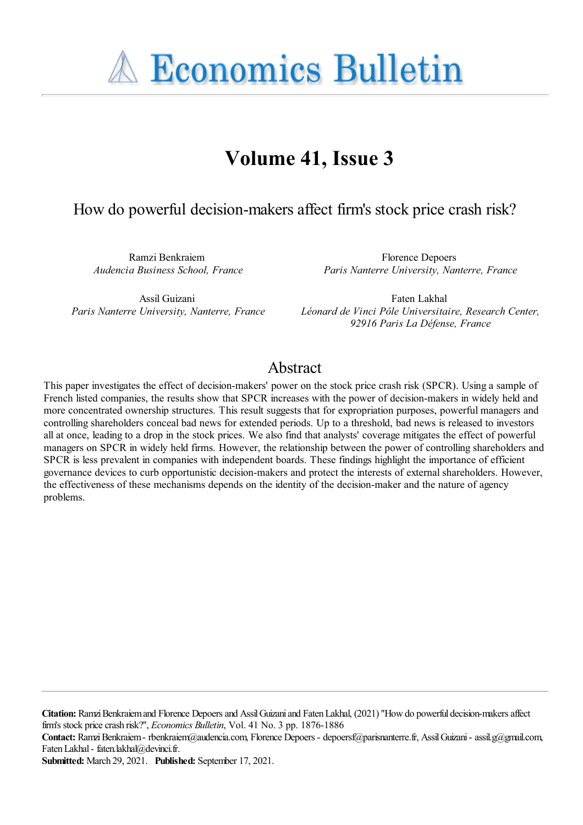**A Economics Bulletin** 

# **Volume 41, Issue 3**

# How do powerful decision-makers affect firm's stock price crash risk?

Ramzi Benkraiem *Audencia Business School, France*

Florence Depoers *Paris Nanterre University, Nanterre, France*

Assil Guizani *Paris Nanterre University, Nanterre, France*

Faten Lakhal *Léonard de Vinci Pôle Universitaire, Research Center, 92916 Paris La Défense, France*

# Abstract

This paper investigates the effect of decision-makers' power on the stock price crash risk (SPCR). Using a sample of French listed companies, the results show that SPCR increases with the power of decision-makers in widely held and more concentrated ownership structures. This result suggests that for expropriation purposes, powerful managers and controlling shareholders conceal bad news for extended periods. Up to a threshold, bad news is released to investors all at once, leading to a drop in the stock prices. We also find that analysts' coverage mitigates the effect of powerful managers on SPCR in widely held firms. However, the relationship between the power of controlling shareholders and SPCR is less prevalent in companies with independent boards. These findings highlight the importance of efficient governance devices to curb opportunistic decision-makers and protect the interests of external shareholders. However, the effectiveness of these mechanisms depends on the identity of the decision-maker and the nature of agency problems.

Citation: Ramzi Benkraiem and Florence Depoers and Assil Guizani and Faten Lakhal, (2021) "How do powerful decision-makers affect firm's stock pricecrash risk?'', *Economics Bulletin*, Vol. 41 No. 3 pp. 1876-1886

Contact: Ramzi Benkraiem - rbenkraiem@audencia.com, Florence Depoers - depoersf@parisnanterre.fr, Assil Guizani - assil.g@gmail.com, Faten Lakhal- faten.lakhal@devinci.fr.

**Submitted:** March 29, 2021. **Published:** September 17, 2021.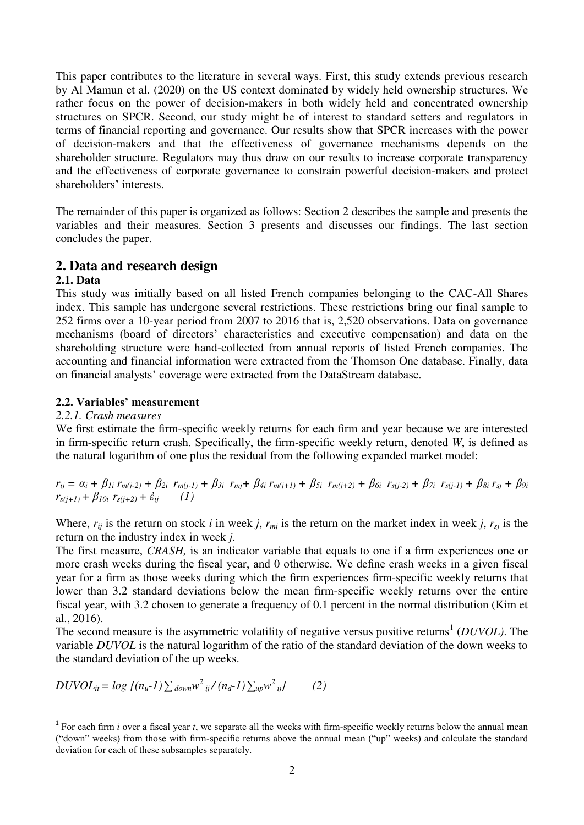This paper contributes to the literature in several ways. First, this study extends previous research by Al Mamun et al. (2020) on the US context dominated by widely held ownership structures. We rather focus on the power of decision-makers in both widely held and concentrated ownership structures on SPCR. Second, our study might be of interest to standard setters and regulators in terms of financial reporting and governance. Our results show that SPCR increases with the power of decision-makers and that the effectiveness of governance mechanisms depends on the shareholder structure. Regulators may thus draw on our results to increase corporate transparency and the effectiveness of corporate governance to constrain powerful decision-makers and protect shareholders' interests.

The remainder of this paper is organized as follows: Section 2 describes the sample and presents the variables and their measures. Section 3 presents and discusses our findings. The last section concludes the paper.

# **2. Data and research design**

# **2.1. Data**

l

This study was initially based on all listed French companies belonging to the CAC-All Shares index. This sample has undergone several restrictions. These restrictions bring our final sample to 252 firms over a 10-year period from 2007 to 2016 that is, 2,520 observations. Data on governance mechanisms (board of directors' characteristics and executive compensation) and data on the shareholding structure were hand-collected from annual reports of listed French companies. The accounting and financial information were extracted from the Thomson One database. Finally, data on financial analysts' coverage were extracted from the DataStream database.

#### **2.2. Variables' measurement**

#### *2.2.1. Crash measures*

We first estimate the firm-specific weekly returns for each firm and year because we are interested in firm-specific return crash. Specifically, the firm-specific weekly return, denoted *W*, is defined as the natural logarithm of one plus the residual from the following expanded market model:

 $r_{ij} = \alpha_i + \beta_{1i} r_{m(j\text{-}2)} + \beta_{2i} r_{m(j\text{-}1)} + \beta_{3i} r_{mj} + \beta_{4i} r_{m(j\text{+}1)} + \beta_{5i} r_{m(j\text{+}2)} + \beta_{6i} r_{s(j\text{-}2)} + \beta_{7i} r_{s(j\text{-}1)} + \beta_{8i} r_{sj} + \beta_{9i} r_{sj}$  $r_{s(j+1)} + \beta_{10i} r_{s(j+2)} + \dot{\varepsilon}_{ij}$  (1)

Where,  $r_{ij}$  is the return on stock *i* in week *j*,  $r_{mj}$  is the return on the market index in week *j*,  $r_{sj}$  is the return on the industry index in week *j*.

The first measure, *CRASH,* is an indicator variable that equals to one if a firm experiences one or more crash weeks during the fiscal year, and 0 otherwise. We define crash weeks in a given fiscal year for a firm as those weeks during which the firm experiences firm-specific weekly returns that lower than 3.2 standard deviations below the mean firm-specific weekly returns over the entire fiscal year, with 3.2 chosen to generate a frequency of 0.1 percent in the normal distribution (Kim et al., 2016).

The second measure is the asymmetric volatility of negative versus positive returns<sup>1</sup> (*DUVOL*). The variable *DUVOL* is the natural logarithm of the ratio of the standard deviation of the down weeks to the standard deviation of the up weeks.

$$
DUVOL_{it} = log \{(n_u-1)\sum_{down}w^2_{ij}/(n_d-1)\sum_{up}w^2_{ij}\}\qquad (2)
$$

<sup>&</sup>lt;sup>1</sup> For each firm *i* over a fiscal year *t*, we separate all the weeks with firm-specific weekly returns below the annual mean ("down" weeks) from those with firm-specific returns above the annual mean ("up" weeks) and calculate the standard deviation for each of these subsamples separately.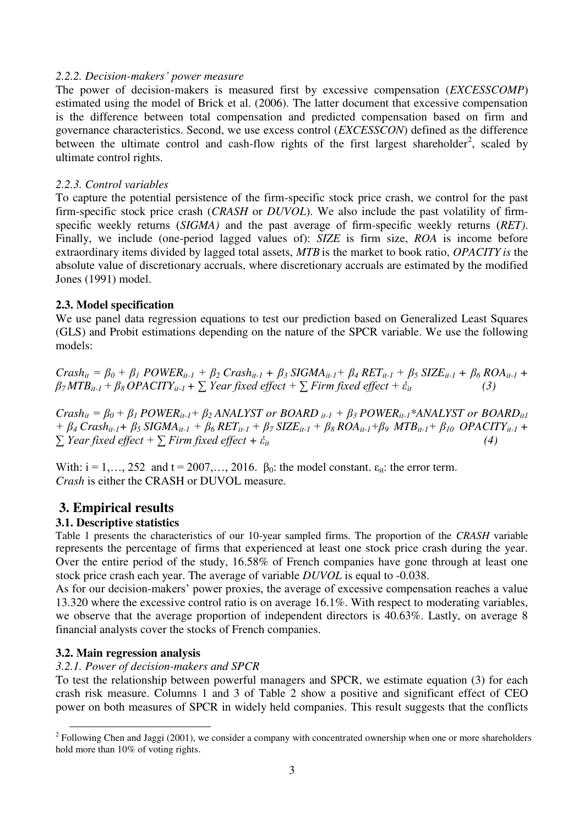#### *2.2.2. Decision-makers' power measure*

The power of decision-makers is measured first by excessive compensation (*EXCESSCOMP*) estimated using the model of Brick et al. (2006). The latter document that excessive compensation is the difference between total compensation and predicted compensation based on firm and governance characteristics. Second, we use excess control (*EXCESSCON*) defined as the difference between the ultimate control and cash-flow rights of the first largest shareholder<sup>2</sup>, scaled by ultimate control rights.

#### *2.2.3. Control variables*

To capture the potential persistence of the firm-specific stock price crash, we control for the past firm-specific stock price crash (*CRASH* or *DUVOL*). We also include the past volatility of firmspecific weekly returns (*SIGMA)* and the past average of firm-specific weekly returns (*RET)*. Finally, we include (one-period lagged values of): *SIZE* is firm size, *ROA* is income before extraordinary items divided by lagged total assets, *MTB* is the market to book ratio, *OPACITY is* the absolute value of discretionary accruals, where discretionary accruals are estimated by the modified Jones (1991) model.

#### **2.3. Model specification**

We use panel data regression equations to test our prediction based on Generalized Least Squares (GLS) and Probit estimations depending on the nature of the SPCR variable. We use the following models:

 $Crash_{it} = \beta_0 + \beta_1 POWER_{it-1} + \beta_2 Crash_{it-1} + \beta_3 SIGMA_{it-1} + \beta_4 RET_{it-1} + \beta_5 SIZE_{it-1} + \beta_6 ROA_{it-1} +$  $\beta$ <sup>7</sup> $\text{MTB}_{it-1}$  +  $\beta$ <sup>8</sup> $\text{OPACITY}_{it-1}$  +  $\sum$  *Year fixed effect* +  $\sum$  *Firm fixed effect* +  $\dot{\epsilon}_{it}$  (3)

 $Crash_{it} = \beta_0 + \beta_1 POWER_{it-1} + \beta_2 ANALYST$  or  $BOARD_{it-1} + \beta_3 POWER_{it-1} * ANALYST$  or  $BOARD_{it1}$  $+\beta_4$  Crash<sub>it-1</sub>+  $\beta_5$  SIGMA<sub>it-1</sub> +  $\beta_6$  RET<sub>it-1</sub> +  $\beta_7$  SIZE<sub>it-1</sub> +  $\beta_8$  ROA<sub>it-1</sub>+ $\beta_9$  MTB<sub>it-1</sub>+  $\beta_{10}$  OPACITY<sub>it-1</sub> + *∑ Year fixed effect* +  $∑$  *Firm fixed effect* +  $\dot{\epsilon}_{it}$  (4)

With:  $i = 1, \ldots, 252$  and  $t = 2007, \ldots, 2016$ .  $\beta_0$ : the model constant.  $\varepsilon_{it}$ : the error term. *Crash* is either the CRASH or DUVOL measure.

# **3. Empirical results**

#### **3.1. Descriptive statistics**

Table 1 presents the characteristics of our 10-year sampled firms. The proportion of the *CRASH* variable represents the percentage of firms that experienced at least one stock price crash during the year. Over the entire period of the study, 16.58% of French companies have gone through at least one stock price crash each year. The average of variable *DUVOL* is equal to -0.038.

As for our decision-makers' power proxies, the average of excessive compensation reaches a value 13.320 where the excessive control ratio is on average 16.1%. With respect to moderating variables, we observe that the average proportion of independent directors is 40.63%. Lastly, on average 8 financial analysts cover the stocks of French companies.

#### **3.2. Main regression analysis**

l

#### *3.2.1. Power of decision-makers and SPCR*

To test the relationship between powerful managers and SPCR, we estimate equation (3) for each crash risk measure. Columns 1 and 3 of Table 2 show a positive and significant effect of CEO power on both measures of SPCR in widely held companies. This result suggests that the conflicts

 $2^2$  Following Chen and Jaggi (2001), we consider a company with concentrated ownership when one or more shareholders hold more than 10% of voting rights.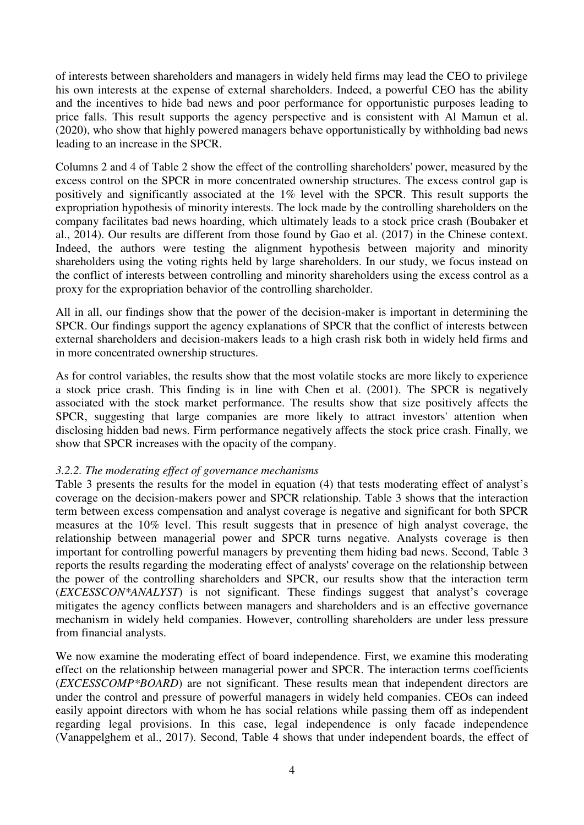of interests between shareholders and managers in widely held firms may lead the CEO to privilege his own interests at the expense of external shareholders. Indeed, a powerful CEO has the ability and the incentives to hide bad news and poor performance for opportunistic purposes leading to price falls. This result supports the agency perspective and is consistent with Al Mamun et al. (2020), who show that highly powered managers behave opportunistically by withholding bad news leading to an increase in the SPCR.

Columns 2 and 4 of Table 2 show the effect of the controlling shareholders' power, measured by the excess control on the SPCR in more concentrated ownership structures. The excess control gap is positively and significantly associated at the 1% level with the SPCR. This result supports the expropriation hypothesis of minority interests. The lock made by the controlling shareholders on the company facilitates bad news hoarding, which ultimately leads to a stock price crash (Boubaker et al., 2014). Our results are different from those found by Gao et al. (2017) in the Chinese context. Indeed, the authors were testing the alignment hypothesis between majority and minority shareholders using the voting rights held by large shareholders. In our study, we focus instead on the conflict of interests between controlling and minority shareholders using the excess control as a proxy for the expropriation behavior of the controlling shareholder.

All in all, our findings show that the power of the decision-maker is important in determining the SPCR. Our findings support the agency explanations of SPCR that the conflict of interests between external shareholders and decision-makers leads to a high crash risk both in widely held firms and in more concentrated ownership structures.

As for control variables, the results show that the most volatile stocks are more likely to experience a stock price crash. This finding is in line with Chen et al. (2001). The SPCR is negatively associated with the stock market performance. The results show that size positively affects the SPCR, suggesting that large companies are more likely to attract investors' attention when disclosing hidden bad news. Firm performance negatively affects the stock price crash. Finally, we show that SPCR increases with the opacity of the company.

#### *3.2.2. The moderating effect of governance mechanisms*

Table 3 presents the results for the model in equation (4) that tests moderating effect of analyst's coverage on the decision-makers power and SPCR relationship. Table 3 shows that the interaction term between excess compensation and analyst coverage is negative and significant for both SPCR measures at the 10% level. This result suggests that in presence of high analyst coverage, the relationship between managerial power and SPCR turns negative. Analysts coverage is then important for controlling powerful managers by preventing them hiding bad news. Second, Table 3 reports the results regarding the moderating effect of analysts' coverage on the relationship between the power of the controlling shareholders and SPCR, our results show that the interaction term (*EXCESSCON\*ANALYST*) is not significant. These findings suggest that analyst's coverage mitigates the agency conflicts between managers and shareholders and is an effective governance mechanism in widely held companies. However, controlling shareholders are under less pressure from financial analysts.

We now examine the moderating effect of board independence. First, we examine this moderating effect on the relationship between managerial power and SPCR. The interaction terms coefficients (*EXCESSCOMP\*BOARD*) are not significant. These results mean that independent directors are under the control and pressure of powerful managers in widely held companies. CEOs can indeed easily appoint directors with whom he has social relations while passing them off as independent regarding legal provisions. In this case, legal independence is only facade independence (Vanappelghem et al., 2017). Second, Table 4 shows that under independent boards, the effect of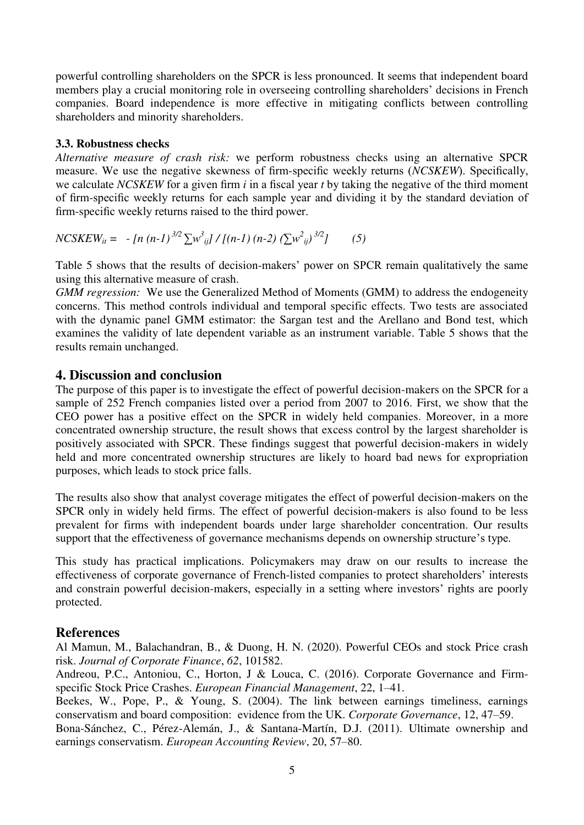powerful controlling shareholders on the SPCR is less pronounced. It seems that independent board members play a crucial monitoring role in overseeing controlling shareholders' decisions in French companies. Board independence is more effective in mitigating conflicts between controlling shareholders and minority shareholders.

#### **3.3. Robustness checks**

*Alternative measure of crash risk:* we perform robustness checks using an alternative SPCR measure. We use the negative skewness of firm-specific weekly returns (*NCSKEW*). Specifically, we calculate *NCSKEW* for a given firm *i* in a fiscal year *t* by taking the negative of the third moment of firm-specific weekly returns for each sample year and dividing it by the standard deviation of firm-specific weekly returns raised to the third power.

$$
NCSKEW_{it} = -[n (n-1)^{3/2} \sum w_{ij}^{3}]/[(n-1) (n-2) (\sum w_{ij}^{2})^{3/2}] \qquad (5)
$$

Table 5 shows that the results of decision-makers' power on SPCR remain qualitatively the same using this alternative measure of crash.

*GMM regression:* We use the Generalized Method of Moments (GMM) to address the endogeneity concerns. This method controls individual and temporal specific effects. Two tests are associated with the dynamic panel GMM estimator: the Sargan test and the Arellano and Bond test, which examines the validity of late dependent variable as an instrument variable. Table 5 shows that the results remain unchanged.

#### **4. Discussion and conclusion**

The purpose of this paper is to investigate the effect of powerful decision-makers on the SPCR for a sample of 252 French companies listed over a period from 2007 to 2016. First, we show that the CEO power has a positive effect on the SPCR in widely held companies. Moreover, in a more concentrated ownership structure, the result shows that excess control by the largest shareholder is positively associated with SPCR. These findings suggest that powerful decision-makers in widely held and more concentrated ownership structures are likely to hoard bad news for expropriation purposes, which leads to stock price falls.

The results also show that analyst coverage mitigates the effect of powerful decision-makers on the SPCR only in widely held firms. The effect of powerful decision-makers is also found to be less prevalent for firms with independent boards under large shareholder concentration. Our results support that the effectiveness of governance mechanisms depends on ownership structure's type.

This study has practical implications. Policymakers may draw on our results to increase the effectiveness of corporate governance of French-listed companies to protect shareholders' interests and constrain powerful decision-makers, especially in a setting where investors' rights are poorly protected.

# **References**

Al Mamun, M., Balachandran, B., & Duong, H. N. (2020). Powerful CEOs and stock Price crash risk. *Journal of Corporate Finance*, *62*, 101582.

Andreou, P.C., Antoniou, C., Horton, J & Louca, C. (2016). Corporate Governance and Firmspecific Stock Price Crashes. *European Financial Management*, 22, 1–41.

Beekes, W., Pope, P., & Young, S. (2004). The link between earnings timeliness, earnings conservatism and board composition: evidence from the UK. *Corporate Governance*, 12, 47–59.

Bona-Sánchez, C., Pérez-Alemán, J., & Santana-Martín, D.J. (2011). Ultimate ownership and earnings conservatism. *European Accounting Review*, 20, 57–80.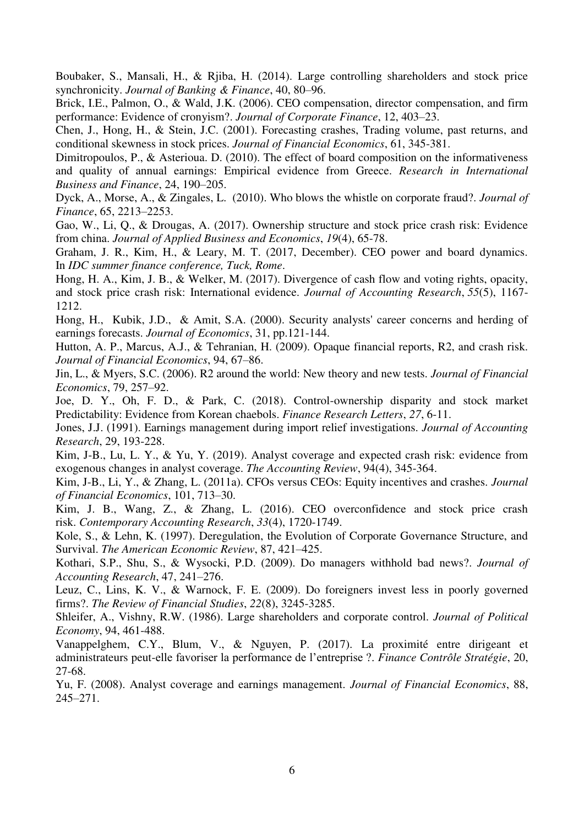Boubaker, S., Mansali, H., & Rjiba, H. (2014). Large controlling shareholders and stock price synchronicity. *Journal of Banking & Finance*, 40, 80–96.

Brick, I.E., Palmon, O., & Wald, J.K. (2006). CEO compensation, director compensation, and firm performance: Evidence of cronyism?. *Journal of Corporate Finance*, 12, 403–23.

Chen, J., Hong, H., & Stein, J.C. (2001). Forecasting crashes, Trading volume, past returns, and conditional skewness in stock prices. *Journal of Financial Economics*, 61, 345-381.

Dimitropoulos, P., & Asterioua. D. (2010). The effect of board composition on the informativeness and quality of annual earnings: Empirical evidence from Greece. *Research in International Business and Finance*, 24, 190–205.

Dyck, A., Morse, A., & Zingales, L. (2010). Who blows the whistle on corporate fraud?. *Journal of Finance*, 65, 2213–2253.

Gao, W., Li, Q., & Drougas, A. (2017). Ownership structure and stock price crash risk: Evidence from china. *Journal of Applied Business and Economics*, *19*(4), 65-78.

Graham, J. R., Kim, H., & Leary, M. T. (2017, December). CEO power and board dynamics. In *IDC summer finance conference, Tuck, Rome*.

Hong, H. A., Kim, J. B., & Welker, M. (2017). Divergence of cash flow and voting rights, opacity, and stock price crash risk: International evidence. *Journal of Accounting Research*, *55*(5), 1167- 1212.

Hong, H., Kubik, J.D., & Amit, S.A. (2000). Security analysts' career concerns and herding of earnings forecasts. *Journal of Economics*, 31, pp.121-144.

Hutton, A. P., Marcus, A.J., & Tehranian, H. (2009). Opaque financial reports, R2, and crash risk. *Journal of Financial Economics*, 94, 67–86.

Jin, L., & Myers, S.C. (2006). R2 around the world: New theory and new tests. *Journal of Financial Economics*, 79, 257–92.

Joe, D. Y., Oh, F. D., & Park, C. (2018). Control-ownership disparity and stock market Predictability: Evidence from Korean chaebols. *Finance Research Letters*, *27*, 6-11.

Jones, J.J. (1991). Earnings management during import relief investigations. *Journal of Accounting Research*, 29, 193-228.

Kim, J-B., Lu, L. Y., & Yu, Y. (2019). Analyst coverage and expected crash risk: evidence from exogenous changes in analyst coverage. *The Accounting Review*, 94(4), 345-364.

Kim, J-B., Li, Y., & Zhang, L. (2011a). CFOs versus CEOs: Equity incentives and crashes. *Journal of Financial Economics*, 101, 713–30.

Kim, J. B., Wang, Z., & Zhang, L. (2016). CEO overconfidence and stock price crash risk. *Contemporary Accounting Research*, *33*(4), 1720-1749.

Kole, S., & Lehn, K. (1997). Deregulation, the Evolution of Corporate Governance Structure, and Survival. *The American Economic Review*, 87, 421–425.

Kothari, S.P., Shu, S., & Wysocki, P.D. (2009). Do managers withhold bad news?. *Journal of Accounting Research*, 47, 241–276.

Leuz, C., Lins, K. V., & Warnock, F. E. (2009). Do foreigners invest less in poorly governed firms?. *The Review of Financial Studies*, *22*(8), 3245-3285.

Shleifer, A., Vishny, R.W. (1986). Large shareholders and corporate control. *Journal of Political Economy*, 94, 461-488.

Vanappelghem, C.Y., Blum, V., & Nguyen, P. (2017). La proximité entre dirigeant et administrateurs peut-elle favoriser la performance de l'entreprise ?. *Finance Contrôle Stratégie*, 20, 27-68.

Yu, F. (2008). Analyst coverage and earnings management. *Journal of Financial Economics*, 88, 245–271.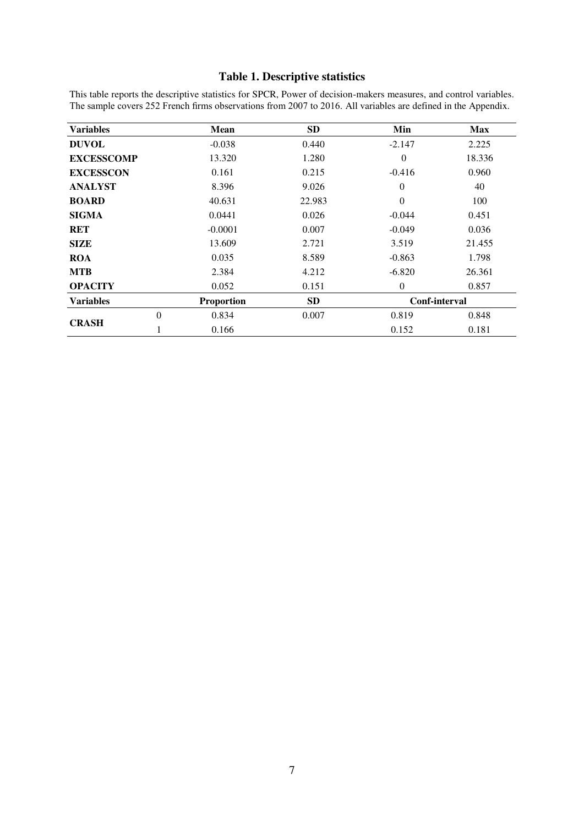# **Table 1. Descriptive statistics**

This table reports the descriptive statistics for SPCR, Power of decision-makers measures, and control variables. The sample covers 252 French firms observations from 2007 to 2016. All variables are defined in the Appendix.

| <b>Variables</b>  |          | Mean              | <b>SD</b> | Min           | <b>Max</b> |
|-------------------|----------|-------------------|-----------|---------------|------------|
| <b>DUVOL</b>      |          | $-0.038$          | 0.440     | $-2.147$      | 2.225      |
| <b>EXCESSCOMP</b> |          | 13.320            | 1.280     | $\theta$      | 18.336     |
| <b>EXCESSCON</b>  |          | 0.161             | 0.215     | $-0.416$      | 0.960      |
| <b>ANALYST</b>    |          | 8.396             | 9.026     | $\Omega$      | 40         |
| <b>BOARD</b>      |          | 40.631            | 22.983    | $\theta$      | 100        |
| <b>SIGMA</b>      |          | 0.0441            | 0.026     | $-0.044$      | 0.451      |
| <b>RET</b>        |          | $-0.0001$         | 0.007     | $-0.049$      | 0.036      |
| <b>SIZE</b>       |          | 13.609            | 2.721     | 3.519         | 21.455     |
| <b>ROA</b>        |          | 0.035             | 8.589     | $-0.863$      | 1.798      |
| <b>MTB</b>        |          | 2.384             | 4.212     | $-6.820$      | 26.361     |
| <b>OPACITY</b>    |          | 0.052             | 0.151     | $\theta$      | 0.857      |
| <b>Variables</b>  |          | <b>Proportion</b> | <b>SD</b> | Conf-interval |            |
| <b>CRASH</b>      | $\theta$ | 0.834             | 0.007     | 0.819         | 0.848      |
|                   |          | 0.166             |           | 0.152         | 0.181      |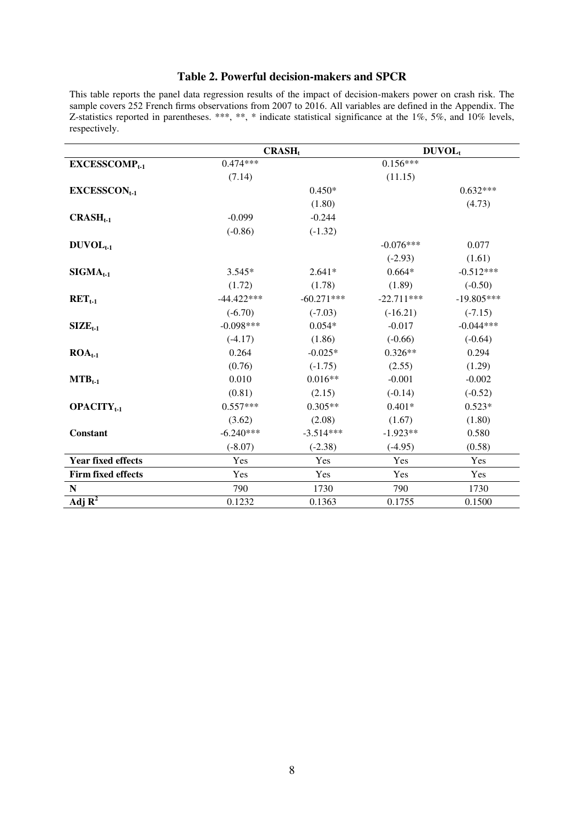### **Table 2. Powerful decision-makers and SPCR**

This table reports the panel data regression results of the impact of decision-makers power on crash risk. The sample covers 252 French firms observations from 2007 to 2016. All variables are defined in the Appendix. The Z-statistics reported in parentheses. \*\*\*, \*\*, \* indicate statistical significance at the 1%, 5%, and 10% levels, respectively.

|                               | CRASH <sub>t</sub> |              | DUVOL,       |              |
|-------------------------------|--------------------|--------------|--------------|--------------|
| $EXCESSCOMP_{t-1}$            | $0.474***$         |              | $0.156***$   |              |
|                               | (7.14)             |              | (11.15)      |              |
| $EXCESSCON_{t-1}$             |                    | $0.450*$     |              | $0.632***$   |
|                               |                    | (1.80)       |              | (4.73)       |
| $CRASH_{t-1}$                 | $-0.099$           | $-0.244$     |              |              |
|                               | $(-0.86)$          | $(-1.32)$    |              |              |
| $DUVOL_{t-1}$                 |                    |              | $-0.076***$  | 0.077        |
|                               |                    |              | $(-2.93)$    | (1.61)       |
| $SIGMA_{t-1}$                 | $3.545*$           | $2.641*$     | $0.664*$     | $-0.512***$  |
|                               | (1.72)             | (1.78)       | (1.89)       | $(-0.50)$    |
| $RET_{t-1}$                   | $-44.422***$       | $-60.271***$ | $-22.711***$ | $-19.805***$ |
|                               | $(-6.70)$          | $(-7.03)$    | $(-16.21)$   | $(-7.15)$    |
| $SIZE_{t-1}$                  | $-0.098***$        | $0.054*$     | $-0.017$     | $-0.044***$  |
|                               | $(-4.17)$          | (1.86)       | $(-0.66)$    | $(-0.64)$    |
| $ROA_{t-1}$                   | 0.264              | $-0.025*$    | $0.326**$    | 0.294        |
|                               | (0.76)             | $(-1.75)$    | (2.55)       | (1.29)       |
| $MTB_{t-1}$                   | 0.010              | $0.016**$    | $-0.001$     | $-0.002$     |
|                               | (0.81)             | (2.15)       | $(-0.14)$    | $(-0.52)$    |
| <b>OPACITY</b> <sub>t-1</sub> | $0.557***$         | $0.305**$    | $0.401*$     | $0.523*$     |
|                               | (3.62)             | (2.08)       | (1.67)       | (1.80)       |
| <b>Constant</b>               | $-6.240***$        | $-3.514***$  | $-1.923**$   | 0.580        |
|                               | $(-8.07)$          | $(-2.38)$    | $(-4.95)$    | (0.58)       |
| <b>Year fixed effects</b>     | Yes                | Yes          | Yes          | Yes          |
| Firm fixed effects            | Yes                | Yes          | Yes          | Yes          |
| ${\bf N}$                     | 790                | 1730         | 790          | 1730         |
| Adj $\overline{\mathbf{R}^2}$ | 0.1232             | 0.1363       | 0.1755       | 0.1500       |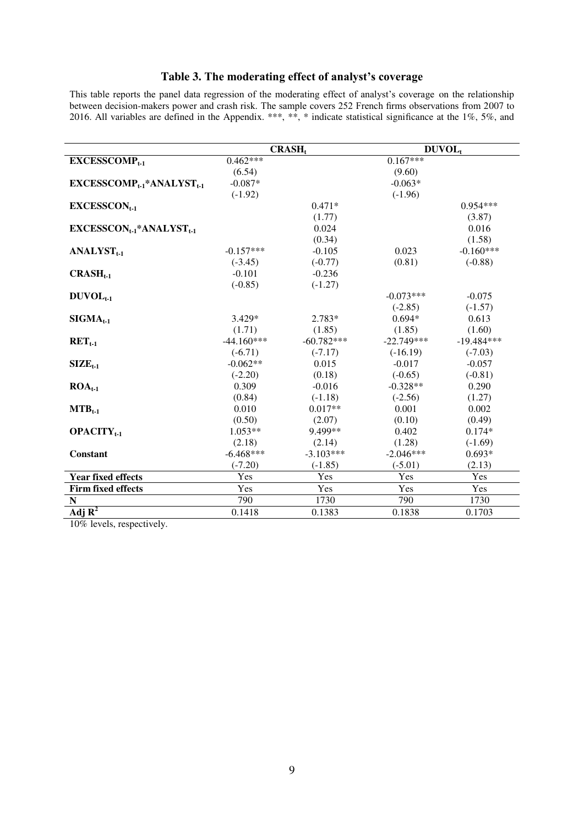# **Table 3. The moderating effect of analyst's coverage**

This table reports the panel data regression of the moderating effect of analyst's coverage on the relationship between decision-makers power and crash risk. The sample covers 252 French firms observations from 2007 to 2016. All variables are defined in the Appendix. \*\*\*, \*\*, \* indicate statistical significance at the 1%, 5%, and

|                                           |              | <b>CRASH</b> |              | DUVOL <sub>t</sub> |
|-------------------------------------------|--------------|--------------|--------------|--------------------|
| <b>EXCESSCOMP</b> <sub>t-1</sub>          | $0.462***$   |              | $0.167***$   |                    |
|                                           | (6.54)       |              | (9.60)       |                    |
| $EXCESSCOMP_{t-1}*ANALVST_{t-1}$          | $-0.087*$    |              | $-0.063*$    |                    |
|                                           | $(-1.92)$    |              | $(-1.96)$    |                    |
| $EXCESSCON_{t-1}$                         |              | $0.471*$     |              | $0.954***$         |
|                                           |              | (1.77)       |              | (3.87)             |
| $EXCESSCON_{t-1}$ *ANALYST <sub>t-1</sub> |              | 0.024        |              | 0.016              |
|                                           |              | (0.34)       |              | (1.58)             |
| $ANALVSTt-1$                              | $-0.157***$  | $-0.105$     | 0.023        | $-0.160***$        |
|                                           | $(-3.45)$    | $(-0.77)$    | (0.81)       | $(-0.88)$          |
| $CRASH_{t-1}$                             | $-0.101$     | $-0.236$     |              |                    |
|                                           | $(-0.85)$    | $(-1.27)$    |              |                    |
| $DUVOLt-1$                                |              |              | $-0.073***$  | $-0.075$           |
|                                           |              |              | $(-2.85)$    | $(-1.57)$          |
| $SIGMA_{t-1}$                             | 3.429*       | 2.783*       | $0.694*$     | 0.613              |
|                                           | (1.71)       | (1.85)       | (1.85)       | (1.60)             |
| $\text{RET}_{t-1}$                        | $-44.160***$ | $-60.782***$ | $-22.749***$ | $-19.484***$       |
|                                           | $(-6.71)$    | $(-7.17)$    | $(-16.19)$   | $(-7.03)$          |
| $SIZE_{t-1}$                              | $-0.062**$   | 0.015        | $-0.017$     | $-0.057$           |
|                                           | $(-2.20)$    | (0.18)       | $(-0.65)$    | $(-0.81)$          |
| $ROA_{t-1}$                               | 0.309        | $-0.016$     | $-0.328**$   | 0.290              |
|                                           | (0.84)       | $(-1.18)$    | $(-2.56)$    | (1.27)             |
| $MTB_{t-1}$                               | 0.010        | $0.017**$    | 0.001        | 0.002              |
|                                           | (0.50)       | (2.07)       | (0.10)       | (0.49)             |
| <b>OPACITY</b> <sub>t-1</sub>             | $1.053**$    | 9.499**      | 0.402        | $0.174*$           |
|                                           | (2.18)       | (2.14)       | (1.28)       | $(-1.69)$          |
| <b>Constant</b>                           | $-6.468***$  | $-3.103***$  | $-2.046***$  | $0.693*$           |
|                                           | $(-7.20)$    | $(-1.85)$    | $(-5.01)$    | (2.13)             |
| <b>Year fixed effects</b>                 | Yes          | Yes          | Yes          | Yes                |
| <b>Firm fixed effects</b>                 | Yes          | Yes          | Yes          | Yes                |
| N                                         | 790          | 1730         | 790          | 1730               |
| Adj $\overline{\mathbf{R}^2}$             | 0.1418       | 0.1383       | 0.1838       | 0.1703             |

10% levels, respectively.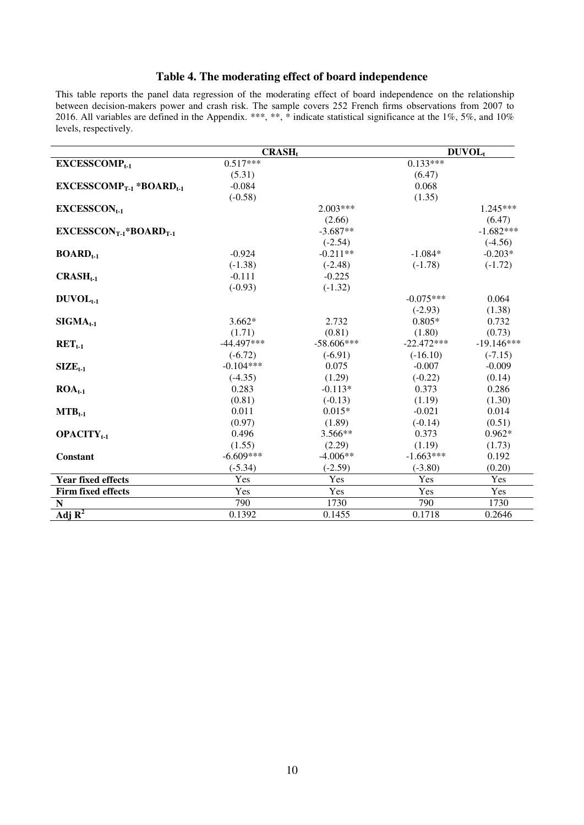# **Table 4. The moderating effect of board independence**

This table reports the panel data regression of the moderating effect of board independence on the relationship between decision-makers power and crash risk. The sample covers 252 French firms observations from 2007 to 2016. All variables are defined in the Appendix.  $***$ ,  $**$ ,  $**$  indicate statistical significance at the 1%, 5%, and 10% levels, respectively.

|                                  | $CRASH_t$    |              |              | DUVOL <sub>t</sub> |
|----------------------------------|--------------|--------------|--------------|--------------------|
| <b>EXCESSCOMP</b> <sub>1-1</sub> | $0.517***$   |              | $0.133***$   |                    |
|                                  | (5.31)       |              | (6.47)       |                    |
| $EXCESSCOMP_{T-1}*BOARD_{t-1}$   | $-0.084$     |              | 0.068        |                    |
|                                  | $(-0.58)$    |              | (1.35)       |                    |
| $EXCESSCON_{t-1}$                |              | $2.003***$   |              | $1.245***$         |
|                                  |              | (2.66)       |              | (6.47)             |
| $EXCESSCON_{T-1}*BOARD_{T-1}$    |              | $-3.687**$   |              | $-1.682***$        |
|                                  |              | $(-2.54)$    |              | $(-4.56)$          |
| $BOARDt-1$                       | $-0.924$     | $-0.211**$   | $-1.084*$    | $-0.203*$          |
|                                  | $(-1.38)$    | $(-2.48)$    | $(-1.78)$    | $(-1.72)$          |
| $CRASH_{t-1}$                    | $-0.111$     | $-0.225$     |              |                    |
|                                  | $(-0.93)$    | $(-1.32)$    |              |                    |
| $DUVOLt-1$                       |              |              | $-0.075***$  | 0.064              |
|                                  |              |              | $(-2.93)$    | (1.38)             |
| $SIGMA_{t-1}$                    | $3.662*$     | 2.732        | $0.805*$     | 0.732              |
|                                  | (1.71)       | (0.81)       | (1.80)       | (0.73)             |
| $RETt-1$                         | $-44.497***$ | $-58.606***$ | $-22.472***$ | $-19.146***$       |
|                                  | $(-6.72)$    | $(-6.91)$    | $(-16.10)$   | $(-7.15)$          |
| $SIZE_{t-1}$                     | $-0.104***$  | 0.075        | $-0.007$     | $-0.009$           |
|                                  | $(-4.35)$    | (1.29)       | $(-0.22)$    | (0.14)             |
| $ROAt-1$                         | 0.283        | $-0.113*$    | 0.373        | 0.286              |
|                                  | (0.81)       | $(-0.13)$    | (1.19)       | (1.30)             |
| $MTB_{t-1}$                      | 0.011        | $0.015*$     | $-0.021$     | 0.014              |
|                                  | (0.97)       | (1.89)       | $(-0.14)$    | (0.51)             |
| <b>OPACITY</b> <sub>t-1</sub>    | 0.496        | $3.566**$    | 0.373        | $0.962*$           |
|                                  | (1.55)       | (2.29)       | (1.19)       | (1.73)             |
| Constant                         | $-6.609***$  | $-4.006**$   | $-1.663***$  | 0.192              |
|                                  | $(-5.34)$    | $(-2.59)$    | $(-3.80)$    | (0.20)             |
| <b>Year fixed effects</b>        | Yes          | Yes          | Yes          | Yes                |
| <b>Firm fixed effects</b>        | Yes          | Yes          | Yes          | Yes                |
| N                                | 790          | 1730         | 790          | 1730               |
| Adj $R^2$                        | 0.1392       | 0.1455       | 0.1718       | 0.2646             |